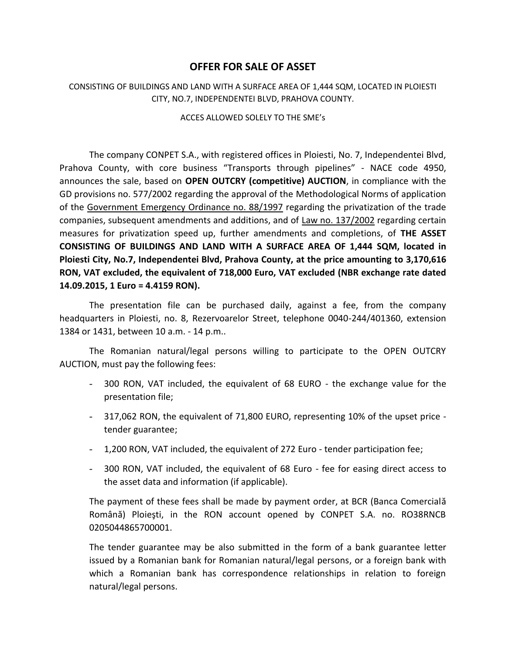## **OFFER FOR SALE OF ASSET**

## CONSISTING OF BUILDINGS AND LAND WITH A SURFACE AREA OF 1,444 SQM, LOCATED IN PLOIESTI CITY, NO.7, INDEPENDENTEI BLVD, PRAHOVA COUNTY.

## ACCES ALLOWED SOLELY TO THE SME's

The company CONPET S.A., with registered offices in Ploiesti, No. 7, Independentei Blvd, Prahova County, with core business "Transports through pipelines" - NACE code 4950, announces the sale, based on **OPEN OUTCRY (competitive) AUCTION**, in compliance with the GD provisions no. 577/2002 regarding the approval of the Methodological Norms of application of the Government Emergency Ordinance no. 88/1997 regarding the privatization of the trade companies, subsequent amendments and additions, and of Law no. 137/2002 regarding certain measures for privatization speed up, further amendments and completions, of **THE ASSET CONSISTING OF BUILDINGS AND LAND WITH A SURFACE AREA OF 1,444 SQM, located in Ploiesti City, No.7, Independentei Blvd, Prahova County, at the price amounting to 3,170,616 RON, VAT excluded, the equivalent of 718,000 Euro, VAT excluded (NBR exchange rate dated 14.09.2015, 1 Euro = 4.4159 RON).**

The presentation file can be purchased daily, against a fee, from the company headquarters in Ploiesti, no. 8, Rezervoarelor Street, telephone 0040-244/401360, extension 1384 or 1431, between 10 a.m. - 14 p.m..

The Romanian natural/legal persons willing to participate to the OPEN OUTCRY AUCTION, must pay the following fees:

- 300 RON, VAT included, the equivalent of 68 EURO the exchange value for the presentation file;
- 317,062 RON, the equivalent of 71,800 EURO, representing 10% of the upset price tender guarantee;
- 1,200 RON, VAT included, the equivalent of 272 Euro tender participation fee;
- 300 RON, VAT included, the equivalent of 68 Euro fee for easing direct access to the asset data and information (if applicable).

The payment of these fees shall be made by payment order, at BCR (Banca Comercială Română) Ploieşti, in the RON account opened by CONPET S.A. no. RO38RNCB 0205044865700001.

The tender guarantee may be also submitted in the form of a bank guarantee letter issued by a Romanian bank for Romanian natural/legal persons, or a foreign bank with which a Romanian bank has correspondence relationships in relation to foreign natural/legal persons.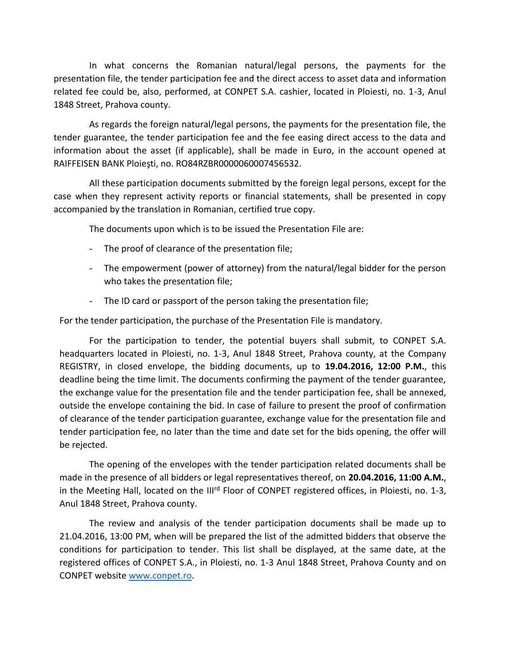In what concerns the Romanian natural/legal persons, the payments for the presentation file, the tender participation fee and the direct access to asset data and information related fee could be, also, performed, at CONPET S.A. cashier, located in Ploiesti, no. 1-3, Anul 1848 Street, Prahova county.

As regards the foreign natural/legal persons, the payments for the presentation file, the tender guarantee, the tender participation fee and the fee easing direct access to the data and information about the asset (if applicable), shall be made in Euro, in the account opened at RAIFFEISEN BANK Ploieşti, no. RO84RZBR0000060007456532.

All these participation documents submitted by the foreign legal persons, except for the case when they represent activity reports or financial statements, shall be presented in copy accompanied by the translation in Romanian, certified true copy.

The documents upon which is to be issued the Presentation File are:

- The proof of clearance of the presentation file;
- The empowerment (power of attorney) from the natural/legal bidder for the person who takes the presentation file;
- The ID card or passport of the person taking the presentation file;

For the tender participation, the purchase of the Presentation File is mandatory.

For the participation to tender, the potential buyers shall submit, to CONPET S.A. headquarters located in Ploiesti, no. 1-3, Anul 1848 Street, Prahova county, at the Company REGISTRY, in closed envelope, the bidding documents, up to **19.04.2016, 12:00 P.M.**, this deadline being the time limit. The documents confirming the payment of the tender guarantee, the exchange value for the presentation file and the tender participation fee, shall be annexed, outside the envelope containing the bid. In case of failure to present the proof of confirmation of clearance of the tender participation guarantee, exchange value for the presentation file and tender participation fee, no later than the time and date set for the bids opening, the offer will be rejected.

The opening of the envelopes with the tender participation related documents shall be made in the presence of all bidders or legal representatives thereof, on **20.04.2016, 11:00 A.M.**, in the Meeting Hall, located on the III<sup>rd</sup> Floor of CONPET registered offices, in Ploiesti, no. 1-3, Anul 1848 Street, Prahova county.

The review and analysis of the tender participation documents shall be made up to 21.04.2016, 13:00 PM, when will be prepared the list of the admitted bidders that observe the conditions for participation to tender. This list shall be displayed, at the same date, at the registered offices of CONPET S.A., in Ploiesti, no. 1-3 Anul 1848 Street, Prahova County and on CONPET websit[e www.conpet.ro.](http://www.conpet.ro/)